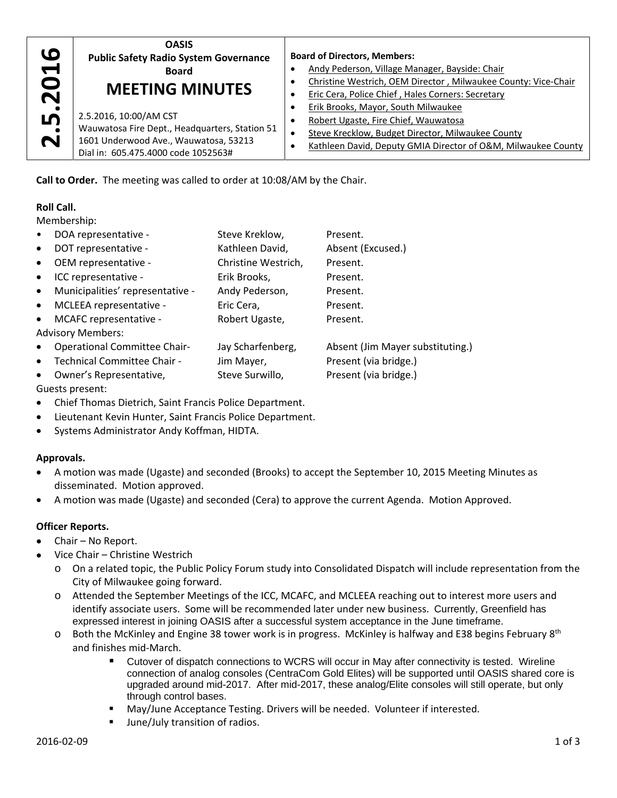| 0                    | <b>OASIS</b>                                                                                                                                             | <b>Board of Directors, Members:</b>                                                                                                                                                               |  |
|----------------------|----------------------------------------------------------------------------------------------------------------------------------------------------------|---------------------------------------------------------------------------------------------------------------------------------------------------------------------------------------------------|--|
| $\blacktriangledown$ | <b>Public Safety Radio System Governance</b>                                                                                                             | Andy Pederson, Village Manager, Bayside: Chair                                                                                                                                                    |  |
| $\bullet$            | <b>Board</b>                                                                                                                                             | Christine Westrich, OEM Director, Milwaukee County: Vice-Chair                                                                                                                                    |  |
| $\mathbf N$          | <b>MEETING MINUTES</b>                                                                                                                                   | Eric Cera, Police Chief, Hales Corners: Secretary                                                                                                                                                 |  |
| LŊ<br>N              | 2.5.2016, 10:00/AM CST<br>Wauwatosa Fire Dept., Headquarters, Station 51<br>1601 Underwood Ave., Wauwatosa, 53213<br>Dial in: 605.475.4000 code 1052563# | Erik Brooks, Mayor, South Milwaukee<br>Robert Ugaste, Fire Chief, Wauwatosa<br>Steve Krecklow, Budget Director, Milwaukee County<br>Kathleen David, Deputy GMIA Director of O&M, Milwaukee County |  |

**Call to Order.** The meeting was called to order at 10:08/AM by the Chair.

# **Roll Call.**

Membership:

| DOA representative -<br>$\bullet$                | Steve Kreklow,      | Present.                         |  |  |
|--------------------------------------------------|---------------------|----------------------------------|--|--|
| DOT representative -<br>$\bullet$                | Kathleen David,     | Absent (Excused.)                |  |  |
| OEM representative -<br>$\bullet$                | Christine Westrich, | Present.                         |  |  |
| ICC representative -<br>$\bullet$                | Erik Brooks,        | Present.                         |  |  |
| Municipalities' representative -<br>$\bullet$    | Andy Pederson,      | Present.                         |  |  |
| MCLEEA representative -<br>$\bullet$             | Eric Cera,          | Present.                         |  |  |
| MCAFC representative -<br>$\bullet$              | Robert Ugaste,      | Present.                         |  |  |
| <b>Advisory Members:</b>                         |                     |                                  |  |  |
| <b>Operational Committee Chair-</b><br>$\bullet$ | Jay Scharfenberg,   | Absent (Jim Mayer substituting.) |  |  |
| Technical Committee Chair -<br>$\bullet$         | Jim Mayer,          | Present (via bridge.)            |  |  |
| Owner's Representative,<br>$\bullet$             | Steve Surwillo,     | Present (via bridge.)            |  |  |
| Guests present:                                  |                     |                                  |  |  |

- Chief Thomas Dietrich, Saint Francis Police Department.
- Lieutenant Kevin Hunter, Saint Francis Police Department.
- Systems Administrator Andy Koffman, HIDTA.

### **Approvals.**

- A motion was made (Ugaste) and seconded (Brooks) to accept the September 10, 2015 Meeting Minutes as disseminated. Motion approved.
- A motion was made (Ugaste) and seconded (Cera) to approve the current Agenda. Motion Approved.

# **Officer Reports.**

- Chair No Report.
- Vice Chair Christine Westrich
	- o On a related topic, the Public Policy Forum study into Consolidated Dispatch will include representation from the City of Milwaukee going forward.
	- o Attended the September Meetings of the ICC, MCAFC, and MCLEEA reaching out to interest more users and identify associate users. Some will be recommended later under new business. Currently, Greenfield has expressed interest in joining OASIS after a successful system acceptance in the June timeframe.
	- $\circ$  Both the McKinley and Engine 38 tower work is in progress. McKinley is halfway and E38 begins February 8<sup>th</sup> and finishes mid‐March.
		- Cutover of dispatch connections to WCRS will occur in May after connectivity is tested. Wireline connection of analog consoles (CentraCom Gold Elites) will be supported until OASIS shared core is upgraded around mid-2017. After mid-2017, these analog/Elite consoles will still operate, but only through control bases.
		- May/June Acceptance Testing. Drivers will be needed. Volunteer if interested.
		- June/July transition of radios.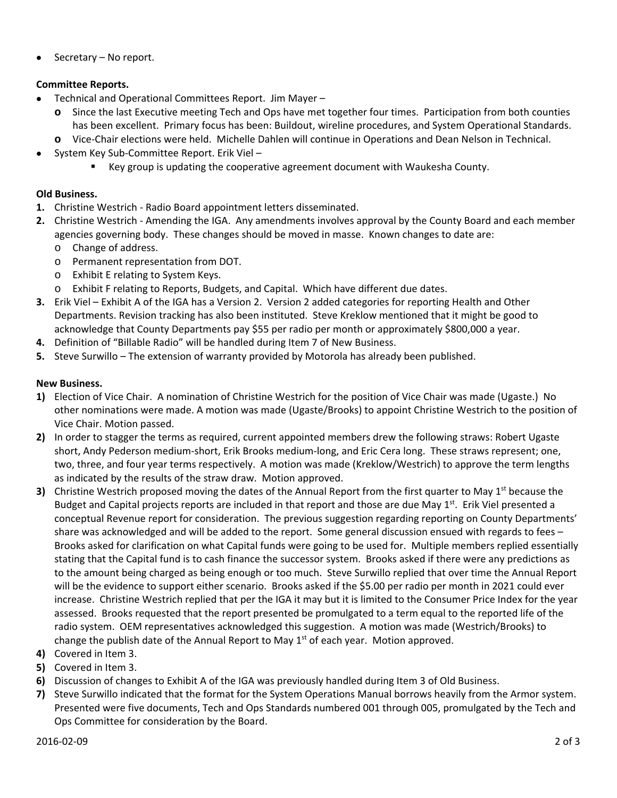Secretary – No report.

### **Committee Reports.**

- Technical and Operational Committees Report. Jim Mayer
	- **o** Since the last Executive meeting Tech and Ops have met together four times. Participation from both counties has been excellent. Primary focus has been: Buildout, wireline procedures, and System Operational Standards.
	- **o** Vice‐Chair elections were held. Michelle Dahlen will continue in Operations and Dean Nelson in Technical.
- System Key Sub‐Committee Report. Erik Viel
	- Key group is updating the cooperative agreement document with Waukesha County.

### **Old Business.**

- **1.** Christine Westrich ‐ Radio Board appointment letters disseminated.
- **2.** Christine Westrich ‐ Amending the IGA. Any amendments involves approval by the County Board and each member agencies governing body. These changes should be moved in masse. Known changes to date are:
	- o Change of address.
	- o Permanent representation from DOT.
	- o Exhibit E relating to System Keys.
	- o Exhibit F relating to Reports, Budgets, and Capital. Which have different due dates.
- **3.** Erik Viel Exhibit A of the IGA has a Version 2. Version 2 added categories for reporting Health and Other Departments. Revision tracking has also been instituted. Steve Kreklow mentioned that it might be good to acknowledge that County Departments pay \$55 per radio per month or approximately \$800,000 a year.
- **4.** Definition of "Billable Radio" will be handled during Item 7 of New Business.
- **5.** Steve Surwillo The extension of warranty provided by Motorola has already been published.

# **New Business.**

- **1)** Election of Vice Chair. A nomination of Christine Westrich for the position of Vice Chair was made (Ugaste.) No other nominations were made. A motion was made (Ugaste/Brooks) to appoint Christine Westrich to the position of Vice Chair. Motion passed.
- **2)** In order to stagger the terms as required, current appointed members drew the following straws: Robert Ugaste short, Andy Pederson medium‐short, Erik Brooks medium‐long, and Eric Cera long. These straws represent; one, two, three, and four year terms respectively. A motion was made (Kreklow/Westrich) to approve the term lengths as indicated by the results of the straw draw. Motion approved.
- **3)** Christine Westrich proposed moving the dates of the Annual Report from the first quarter to May 1<sup>st</sup> because the Budget and Capital projects reports are included in that report and those are due May  $1<sup>st</sup>$ . Erik Viel presented a conceptual Revenue report for consideration. The previous suggestion regarding reporting on County Departments' share was acknowledged and will be added to the report. Some general discussion ensued with regards to fees – Brooks asked for clarification on what Capital funds were going to be used for. Multiple members replied essentially stating that the Capital fund is to cash finance the successor system. Brooks asked if there were any predictions as to the amount being charged as being enough or too much. Steve Surwillo replied that over time the Annual Report will be the evidence to support either scenario. Brooks asked if the \$5.00 per radio per month in 2021 could ever increase. Christine Westrich replied that per the IGA it may but it is limited to the Consumer Price Index for the year assessed. Brooks requested that the report presented be promulgated to a term equal to the reported life of the radio system. OEM representatives acknowledged this suggestion. A motion was made (Westrich/Brooks) to change the publish date of the Annual Report to May  $1<sup>st</sup>$  of each year. Motion approved.
- **4)** Covered in Item 3.
- **5)** Covered in Item 3.
- **6)** Discussion of changes to Exhibit A of the IGA was previously handled during Item 3 of Old Business.
- **7)** Steve Surwillo indicated that the format for the System Operations Manual borrows heavily from the Armor system. Presented were five documents, Tech and Ops Standards numbered 001 through 005, promulgated by the Tech and Ops Committee for consideration by the Board.